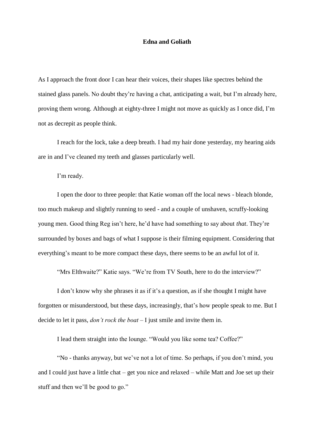## **Edna and Goliath**

As I approach the front door I can hear their voices, their shapes like spectres behind the stained glass panels. No doubt they're having a chat, anticipating a wait, but I'm already here, proving them wrong. Although at eighty-three I might not move as quickly as I once did, I'm not as decrepit as people think.

I reach for the lock, take a deep breath. I had my hair done yesterday, my hearing aids are in and I've cleaned my teeth and glasses particularly well.

I'm ready.

I open the door to three people: that Katie woman off the local news - bleach blonde, too much makeup and slightly running to seed - and a couple of unshaven, scruffy-looking young men. Good thing Reg isn't here, he'd have had something to say about *that*. They're surrounded by boxes and bags of what I suppose is their filming equipment. Considering that everything's meant to be more compact these days, there seems to be an awful lot of it.

"Mrs Elthwaite?" Katie says. "We're from TV South, here to do the interview?"

I don't know why she phrases it as if it's a question, as if she thought I might have forgotten or misunderstood, but these days, increasingly, that's how people speak to me. But I decide to let it pass, *don't rock the boat* – I just smile and invite them in.

I lead them straight into the lounge. "Would you like some tea? Coffee?"

"No - thanks anyway, but we've not a lot of time. So perhaps, if you don't mind, you and I could just have a little chat – get you nice and relaxed – while Matt and Joe set up their stuff and then we'll be good to go."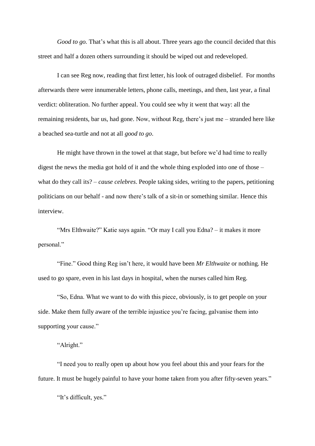*Good to go.* That's what this is all about. Three years ago the council decided that this street and half a dozen others surrounding it should be wiped out and redeveloped.

I can see Reg now, reading that first letter, his look of outraged disbelief. For months afterwards there were innumerable letters, phone calls, meetings, and then, last year, a final verdict: obliteration. No further appeal. You could see why it went that way: all the remaining residents, bar us, had gone. Now, without Reg, there's just me – stranded here like a beached sea-turtle and not at all *good to go*.

He might have thrown in the towel at that stage, but before we'd had time to really digest the news the media got hold of it and the whole thing exploded into one of those – what do they call its? – *cause celebres*. People taking sides, writing to the papers, petitioning politicians on our behalf - and now there's talk of a sit-in or something similar. Hence this interview.

"Mrs Elthwaite?" Katie says again. "Or may I call you Edna? – it makes it more personal."

"Fine." Good thing Reg isn't here, it would have been *Mr Elthwaite* or nothing. He used to go spare, even in his last days in hospital, when the nurses called him Reg.

"So, Edna. What we want to do with this piece, obviously, is to get people on your side. Make them fully aware of the terrible injustice you're facing, galvanise them into supporting your cause."

## "Alright."

"I need you to really open up about how you feel about this and your fears for the future. It must be hugely painful to have your home taken from you after fifty-seven years."

"It's difficult, yes."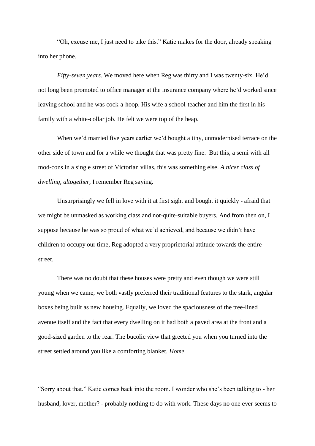"Oh, excuse me, I just need to take this." Katie makes for the door, already speaking into her phone.

*Fifty-seven years*. We moved here when Reg was thirty and I was twenty-six. He'd not long been promoted to office manager at the insurance company where he'd worked since leaving school and he was cock-a-hoop. His wife a school-teacher and him the first in his family with a white-collar job. He felt we were top of the heap.

When we'd married five years earlier we'd bought a tiny, unmodernised terrace on the other side of town and for a while we thought that was pretty fine. But this, a semi with all mod-cons in a single street of Victorian villas, this was something else. *A nicer class of dwelling, altogether,* I remember Reg saying.

Unsurprisingly we fell in love with it at first sight and bought it quickly - afraid that we might be unmasked as working class and not-quite-suitable buyers. And from then on, I suppose because he was so proud of what we'd achieved, and because we didn't have children to occupy our time, Reg adopted a very proprietorial attitude towards the entire street.

There was no doubt that these houses were pretty and even though we were still young when we came, we both vastly preferred their traditional features to the stark, angular boxes being built as new housing. Equally, we loved the spaciousness of the tree-lined avenue itself and the fact that every dwelling on it had both a paved area at the front and a good-sized garden to the rear. The bucolic view that greeted you when you turned into the street settled around you like a comforting blanket. *Home.*

"Sorry about that." Katie comes back into the room. I wonder who she's been talking to - her husband, lover, mother? - probably nothing to do with work. These days no one ever seems to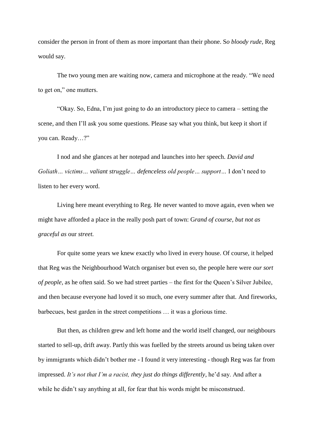consider the person in front of them as more important than their phone. S*o bloody rude,* Reg would say.

The two young men are waiting now, camera and microphone at the ready. "We need to get on," one mutters.

"Okay. So, Edna, I'm just going to do an introductory piece to camera – setting the scene, and then I'll ask you some questions. Please say what you think, but keep it short if you can. Ready…?"

I nod and she glances at her notepad and launches into her speech. *David and Goliath… victims… valiant struggle… defenceless old people… support…* I don't need to listen to her every word.

Living here meant everything to Reg. He never wanted to move again, even when we might have afforded a place in the really posh part of town: G*rand of course, but not as graceful as* our *street.*

For quite some years we knew exactly who lived in every house. Of course, it helped that Reg was the Neighbourhood Watch organiser but even so, the people here were *our sort of people,* as he often said. So we had street parties – the first for the Queen's Silver Jubilee, and then because everyone had loved it so much, one every summer after that. And fireworks, barbecues, best garden in the street competitions … it was a glorious time.

But then, as children grew and left home and the world itself changed, our neighbours started to sell-up, drift away. Partly this was fuelled by the streets around us being taken over by immigrants which didn't bother me - I found it very interesting - though Reg was far from impressed. *It's not that I'm a racist, they just do things differently*, he'd say. And after a while he didn't say anything at all, for fear that his words might be misconstrued.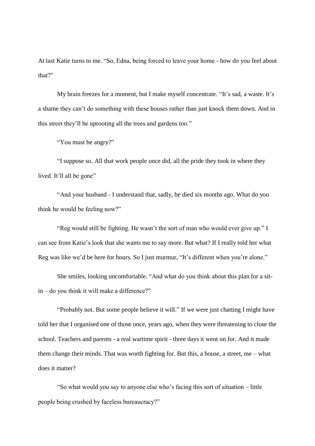At last Katie turns to me. "So, Edna, being forced to leave your home - how do you feel about that?"

My brain freezes for a moment, but I make myself concentrate. "It's sad, a waste. It's a shame they can't do something with these houses rather than just knock them down. And in this street they'll be uprooting all the trees and gardens too."

"You must be angry?"

"I suppose so. All that work people once did, all the pride they took in where they lived. It'll all be gone"

"And your husband - I understand that, sadly, he died six months ago. What do you think he would be feeling now?"

"Reg would still be fighting. He wasn't the sort of man who would ever give up." I can see from Katie's look that she wants me to say more. But what? If I really told her what Reg was like we'd be here for hours. So I just murmur, "It's different when you're alone."

She smiles, looking uncomfortable. "And what do you think about this plan for a sitin – do you think it will make a difference?"

"Probably not. But some people believe it will." If we were just chatting I might have told her that I organised one of those once, years ago, when they were threatening to close the school. Teachers and parents - a real wartime spirit - three days it went on for. And it made them change their minds. That was worth fighting for. But this, a house, a street, me – what does it matter?

"So what would you say to anyone else who's facing this sort of situation – little people being crushed by faceless bureaucracy?"